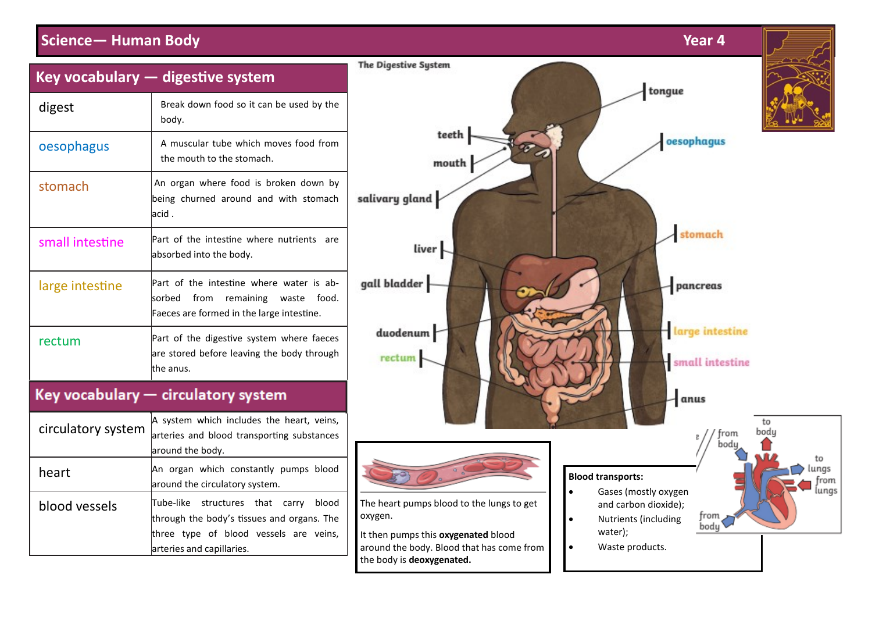## **Science— Human Body Year 4**



| Key vocabulary — digestive system   |                                                                                                                                                                        |
|-------------------------------------|------------------------------------------------------------------------------------------------------------------------------------------------------------------------|
| digest                              | Break down food so it can be used by the<br>body.                                                                                                                      |
| oesophagus                          | A muscular tube which moves food from<br>the mouth to the stomach.                                                                                                     |
| stomach                             | An organ where food is broken down by<br>being churned around and with stomach<br>lacid .                                                                              |
| small intestine                     | Part of the intestine where nutrients<br>are<br>absorbed into the body.                                                                                                |
| large intestine                     | Part of the intestine where water is ab-<br>from<br>food.<br>lsorbed<br>remaining<br>waste<br>Faeces are formed in the large intestine.                                |
| rectum                              | Part of the digestive system where faeces<br>are stored before leaving the body through<br>lthe anus.                                                                  |
| Key vocabulary - circulatory system |                                                                                                                                                                        |
| circulatory system                  | A system which includes the heart, veins,<br>arteries and blood transporting substances<br>around the body.                                                            |
| heart                               | An organ which constantly pumps blood<br>around the circulatory system.                                                                                                |
| blood vessels                       | Tube-like<br>structures<br>that<br>blood<br>carry<br>through the body's tissues and organs. The<br>three type of blood vessels are veins,<br>arteries and capillaries. |